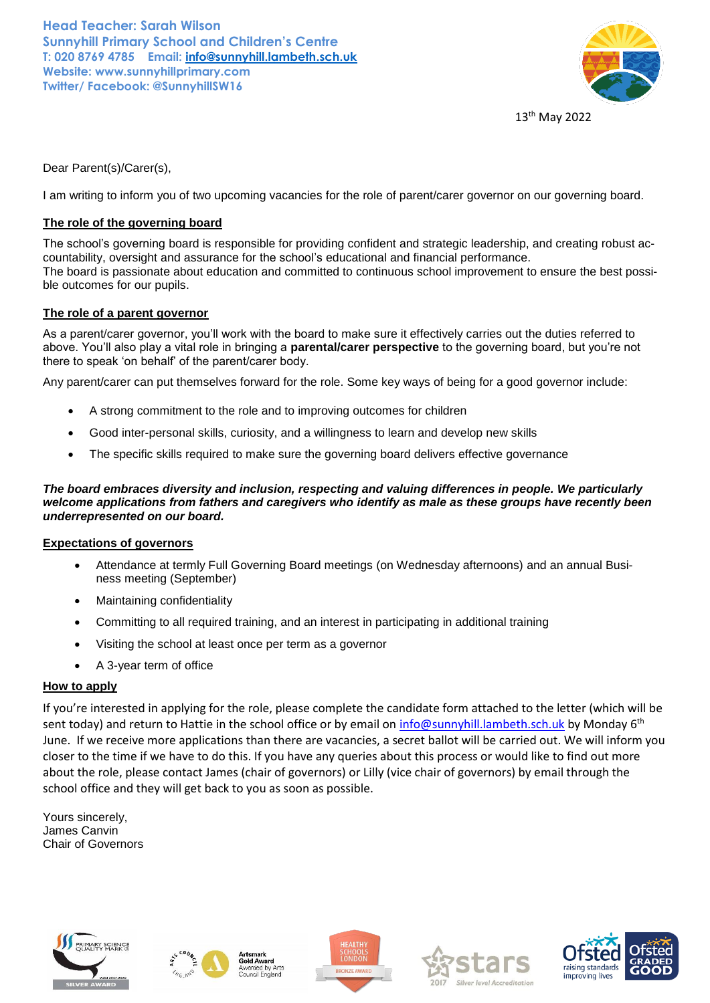**Head Teacher: Sarah Wilson Sunnyhill Primary School and Children's Centre T: 020 8769 4785 Email: [info@sunnyhill.lambeth.sch.uk](mailto:info@sunnyhill.lambeth.sch.uk) Website: www.sunnyhillprimary.com Twitter/ Facebook: @SunnyhillSW16**



13th May 2022

Dear Parent(s)/Carer(s),

I am writing to inform you of two upcoming vacancies for the role of parent/carer governor on our governing board.

## **The role of the governing board**

The school's governing board is responsible for providing confident and strategic leadership, and creating robust accountability, oversight and assurance for the school's educational and financial performance. The board is passionate about education and committed to continuous school improvement to ensure the best possible outcomes for our pupils.

### **The role of a parent governor**

As a parent/carer governor, you'll work with the board to make sure it effectively carries out the duties referred to above. You'll also play a vital role in bringing a **parental/carer perspective** to the governing board, but you're not there to speak 'on behalf' of the parent/carer body.

Any parent/carer can put themselves forward for the role. Some key ways of being for a good governor include:

- A strong commitment to the role and to improving outcomes for children
- Good inter-personal skills, curiosity, and a willingness to learn and develop new skills
- The specific skills required to make sure the governing board delivers effective governance

*The board embraces diversity and inclusion, respecting and valuing differences in people. We particularly welcome applications from fathers and caregivers who identify as male as these groups have recently been underrepresented on our board.*

#### **Expectations of governors**

- Attendance at termly Full Governing Board meetings (on Wednesday afternoons) and an annual Business meeting (September)
- Maintaining confidentiality
- Committing to all required training, and an interest in participating in additional training
- Visiting the school at least once per term as a governor
- A 3-year term of office

### **How to apply**

If you're interested in applying for the role, please complete the candidate form attached to the letter (which will be sent today) and return to Hattie in the school office or by email on [info@sunnyhill.lambeth.sch.uk](mailto:info@sunnyhill.lambeth.sch.uk) by Monday 6<sup>th</sup> June. If we receive more applications than there are vacancies, a secret ballot will be carried out. We will inform you closer to the time if we have to do this. If you have any queries about this process or would like to find out more about the role, please contact James (chair of governors) or Lilly (vice chair of governors) by email through the school office and they will get back to you as soon as possible.

Yours sincerely, James Canvin Chair of Governors





**Gold Award** 





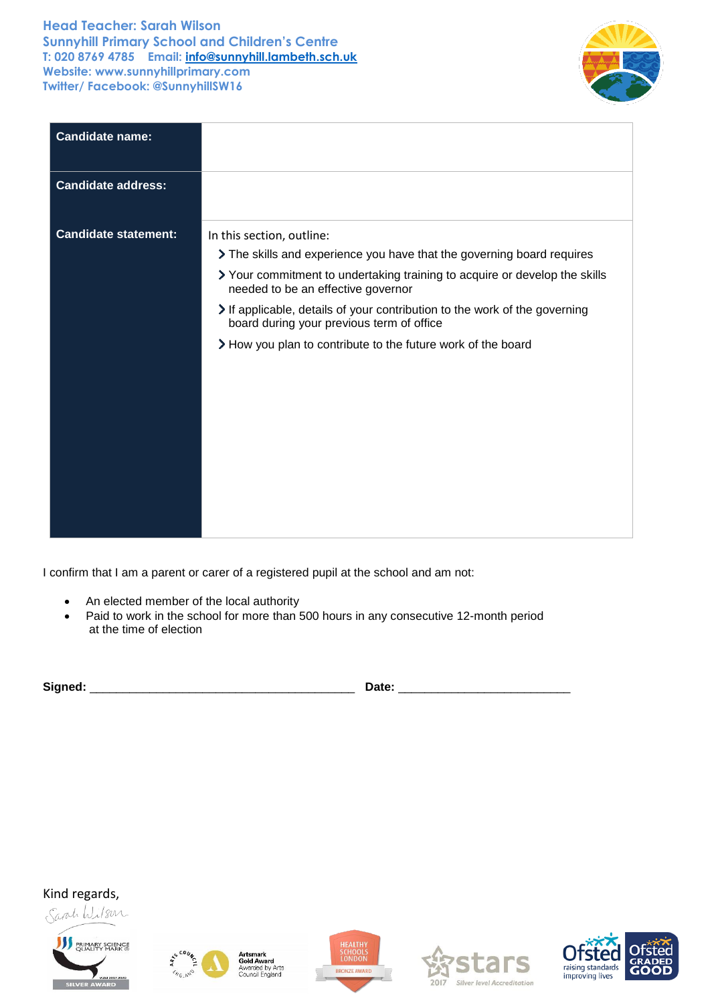# **Head Teacher: Sarah Wilson Sunnyhill Primary School and Children's Centre T: 020 8769 4785 Email: [info@sunnyhill.lambeth.sch.uk](mailto:info@sunnyhill.lambeth.sch.uk) Website: www.sunnyhillprimary.com Twitter/ Facebook: @SunnyhillSW16**



| <b>Candidate name:</b>      |                                                                                                                                                                                                                                                                                                                                                                                                                |
|-----------------------------|----------------------------------------------------------------------------------------------------------------------------------------------------------------------------------------------------------------------------------------------------------------------------------------------------------------------------------------------------------------------------------------------------------------|
| <b>Candidate address:</b>   |                                                                                                                                                                                                                                                                                                                                                                                                                |
| <b>Candidate statement:</b> | In this section, outline:<br>The skills and experience you have that the governing board requires<br>> Your commitment to undertaking training to acquire or develop the skills<br>needed to be an effective governor<br>If applicable, details of your contribution to the work of the governing<br>board during your previous term of office<br>> How you plan to contribute to the future work of the board |

I confirm that I am a parent or carer of a registered pupil at the school and am not:

- An elected member of the local authority
- Paid to work in the school for more than 500 hours in any consecutive 12-month period at the time of election

| $\sim$<br>- |  |
|-------------|--|
| ----        |  |